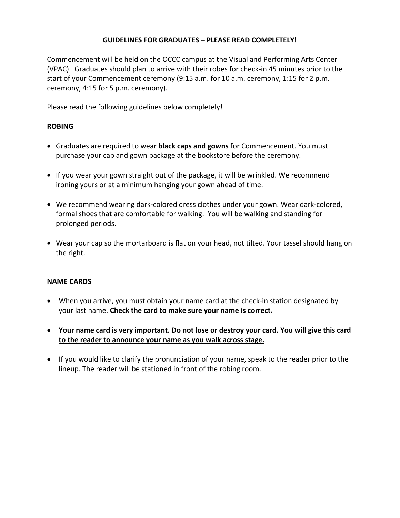# **GUIDELINES FOR GRADUATES – PLEASE READ COMPLETELY!**

Commencement will be held on the OCCC campus at the Visual and Performing Arts Center (VPAC). Graduates should plan to arrive with their robes for check-in 45 minutes prior to the start of your Commencement ceremony (9:15 a.m. for 10 a.m. ceremony, 1:15 for 2 p.m. ceremony, 4:15 for 5 p.m. ceremony).

Please read the following guidelines below completely!

# **ROBING**

- Graduates are required to wear **black caps and gowns** for Commencement. You must purchase your cap and gown package at the bookstore before the ceremony.
- If you wear your gown straight out of the package, it will be wrinkled. We recommend ironing yours or at a minimum hanging your gown ahead of time.
- We recommend wearing dark-colored dress clothes under your gown. Wear dark-colored, formal shoes that are comfortable for walking. You will be walking and standing for prolonged periods.
- Wear your cap so the mortarboard is flat on your head, not tilted. Your tassel should hang on the right.

## **NAME CARDS**

- When you arrive, you must obtain your name card at the check-in station designated by your last name. **Check the card to make sure your name is correct.**
- **Your name card is very important. Do not lose or destroy your card. You will give this card to the reader to announce your name as you walk across stage.**
- If you would like to clarify the pronunciation of your name, speak to the reader prior to the lineup. The reader will be stationed in front of the robing room.